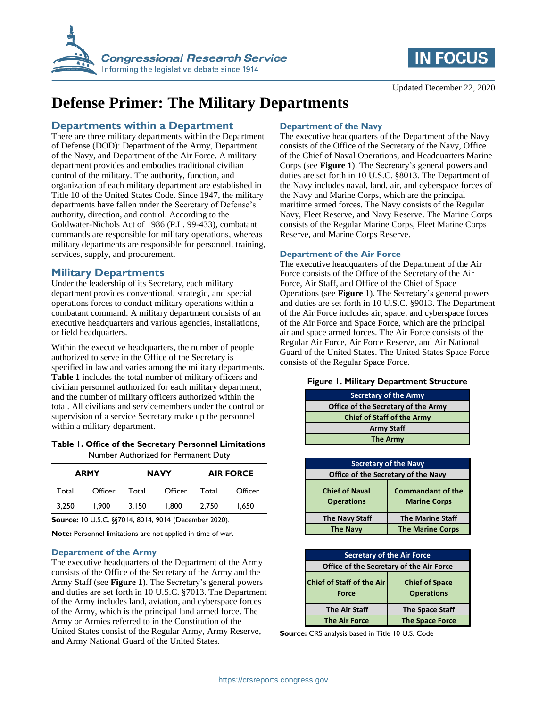



# **Defense Primer: The Military Departments**

## **Departments within a Department**

There are three military departments within the Department of Defense (DOD): Department of the Army, Department of the Navy, and Department of the Air Force. A military department provides and embodies traditional civilian control of the military. The authority, function, and organization of each military department are established in Title 10 of the United States Code. Since 1947, the military departments have fallen under the Secretary of Defense's authority, direction, and control. According to the Goldwater-Nichols Act of 1986 (P.L. 99-433), combatant commands are responsible for military operations, whereas military departments are responsible for personnel, training, services, supply, and procurement.

## **Military Departments**

Under the leadership of its Secretary, each military department provides conventional, strategic, and special operations forces to conduct military operations within a combatant command. A military department consists of an executive headquarters and various agencies, installations, or field headquarters.

Within the executive headquarters, the number of people authorized to serve in the Office of the Secretary is specified in law and varies among the military departments. **Table 1** includes the total number of military officers and civilian personnel authorized for each military department, and the number of military officers authorized within the total. All civilians and servicemembers under the control or supervision of a service Secretary make up the personnel within a military department.

#### **Table 1. Office of the Secretary Personnel Limitations** Number Authorized for Permanent Duty

| <b>ARMY</b> |         | <b>NAVY</b> |         | <b>AIR FORCE</b> |         |
|-------------|---------|-------------|---------|------------------|---------|
| Total       | Officer | Total       | Officer | Total            | Officer |
| 3.250       | 1.900   | 3.150       | 1.800   | 2.750            | 1.650   |

**Source:** 10 U.S.C. §§7014, 8014, 9014 (December 2020).

**Note:** Personnel limitations are not applied in time of war.

## **Department of the Army**

The executive headquarters of the Department of the Army consists of the Office of the Secretary of the Army and the Army Staff (see **Figure 1**). The Secretary's general powers and duties are set forth in 10 U.S.C. §7013. The Department of the Army includes land, aviation, and cyberspace forces of the Army, which is the principal land armed force. The Army or Armies referred to in the Constitution of the United States consist of the Regular Army, Army Reserve, and Army National Guard of the United States.

## **Department of the Navy**

The executive headquarters of the Department of the Navy consists of the Office of the Secretary of the Navy, Office of the Chief of Naval Operations, and Headquarters Marine Corps (see **Figure 1**). The Secretary's general powers and duties are set forth in 10 U.S.C. §8013. The Department of the Navy includes naval, land, air, and cyberspace forces of the Navy and Marine Corps, which are the principal maritime armed forces. The Navy consists of the Regular Navy, Fleet Reserve, and Navy Reserve. The Marine Corps consists of the Regular Marine Corps, Fleet Marine Corps Reserve, and Marine Corps Reserve.

## **Department of the Air Force**

The executive headquarters of the Department of the Air Force consists of the Office of the Secretary of the Air Force, Air Staff, and Office of the Chief of Space Operations (see **Figure 1**). The Secretary's general powers and duties are set forth in 10 U.S.C. §9013. The Department of the Air Force includes air, space, and cyberspace forces of the Air Force and Space Force, which are the principal air and space armed forces. The Air Force consists of the Regular Air Force, Air Force Reserve, and Air National Guard of the United States. The United States Space Force consists of the Regular Space Force.

## **Figure 1. Military Department Structure**

| <b>Secretary of the Army</b>        |  |  |  |  |
|-------------------------------------|--|--|--|--|
| Office of the Secretary of the Army |  |  |  |  |
| <b>Chief of Staff of the Army</b>   |  |  |  |  |
| <b>Army Staff</b>                   |  |  |  |  |
| <b>The Army</b>                     |  |  |  |  |

| <b>Secretary of the Navy</b>               |                                                 |  |  |  |
|--------------------------------------------|-------------------------------------------------|--|--|--|
| Office of the Secretary of the Navy        |                                                 |  |  |  |
| <b>Chief of Naval</b><br><b>Operations</b> | <b>Commandant of the</b><br><b>Marine Corps</b> |  |  |  |
| <b>The Navy Staff</b>                      | <b>The Marine Staff</b>                         |  |  |  |
| <b>The Navy</b>                            | <b>The Marine Corps</b>                         |  |  |  |

| <b>Secretary of the Air Force</b>         |                                            |  |  |  |
|-------------------------------------------|--------------------------------------------|--|--|--|
| Office of the Secretary of the Air Force  |                                            |  |  |  |
| <b>Chief of Staff of the Air</b><br>Force | <b>Chief of Space</b><br><b>Operations</b> |  |  |  |
| <b>The Air Staff</b>                      | <b>The Space Staff</b>                     |  |  |  |
| <b>The Air Force</b>                      | <b>The Space Force</b>                     |  |  |  |

**Source:** CRS analysis based in Title 10 U.S. Code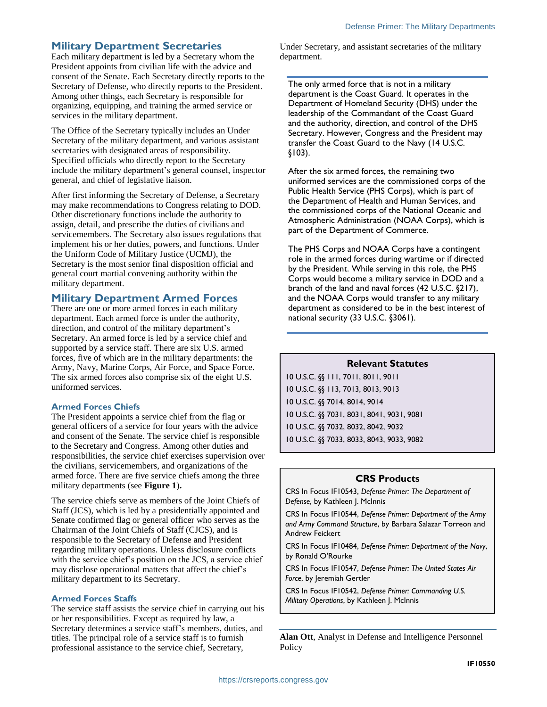## **Military Department Secretaries**

Each military department is led by a Secretary whom the President appoints from civilian life with the advice and consent of the Senate. Each Secretary directly reports to the Secretary of Defense, who directly reports to the President. Among other things, each Secretary is responsible for organizing, equipping, and training the armed service or services in the military department.

The Office of the Secretary typically includes an Under Secretary of the military department, and various assistant secretaries with designated areas of responsibility. Specified officials who directly report to the Secretary include the military department's general counsel, inspector general, and chief of legislative liaison.

After first informing the Secretary of Defense, a Secretary may make recommendations to Congress relating to DOD. Other discretionary functions include the authority to assign, detail, and prescribe the duties of civilians and servicemembers. The Secretary also issues regulations that implement his or her duties, powers, and functions. Under the Uniform Code of Military Justice (UCMJ), the Secretary is the most senior final disposition official and general court martial convening authority within the military department.

## **Military Department Armed Forces**

There are one or more armed forces in each military department. Each armed force is under the authority, direction, and control of the military department's Secretary. An armed force is led by a service chief and supported by a service staff. There are six U.S. armed forces, five of which are in the military departments: the Army, Navy, Marine Corps, Air Force, and Space Force. The six armed forces also comprise six of the eight U.S. uniformed services.

#### **Armed Forces Chiefs**

The President appoints a service chief from the flag or general officers of a service for four years with the advice and consent of the Senate. The service chief is responsible to the Secretary and Congress. Among other duties and responsibilities, the service chief exercises supervision over the civilians, servicemembers, and organizations of the armed force. There are five service chiefs among the three military departments (see **Figure 1**)**.** 

The service chiefs serve as members of the Joint Chiefs of Staff (JCS), which is led by a presidentially appointed and Senate confirmed flag or general officer who serves as the Chairman of the Joint Chiefs of Staff (CJCS), and is responsible to the Secretary of Defense and President regarding military operations. Unless disclosure conflicts with the service chief's position on the JCS, a service chief may disclose operational matters that affect the chief's military department to its Secretary.

#### **Armed Forces Staffs**

The service staff assists the service chief in carrying out his or her responsibilities. Except as required by law, a Secretary determines a service staff's members, duties, and titles. The principal role of a service staff is to furnish professional assistance to the service chief, Secretary,

Under Secretary, and assistant secretaries of the military department.

The only armed force that is not in a military department is the Coast Guard. It operates in the Department of Homeland Security (DHS) under the leadership of the Commandant of the Coast Guard and the authority, direction, and control of the DHS Secretary. However, Congress and the President may transfer the Coast Guard to the Navy (14 U.S.C. §103).

After the six armed forces, the remaining two uniformed services are the commissioned corps of the Public Health Service (PHS Corps), which is part of the Department of Health and Human Services, and the commissioned corps of the National Oceanic and Atmospheric Administration (NOAA Corps), which is part of the Department of Commerce.

The PHS Corps and NOAA Corps have a contingent role in the armed forces during wartime or if directed by the President. While serving in this role, the PHS Corps would become a military service in DOD and a branch of the land and naval forces (42 U.S.C. §217), and the NOAA Corps would transfer to any military department as considered to be in the best interest of national security (33 U.S.C. §3061).

## **Relevant Statutes**

10 U.S.C. §§ 111, 7011, 8011, 9011 10 U.S.C. §§ 113, 7013, 8013, 9013 10 U.S.C. §§ 7014, 8014, 9014 10 U.S.C. §§ 7031, 8031, 8041, 9031, 9081 10 U.S.C. §§ 7032, 8032, 8042, 9032 10 U.S.C. §§ 7033, 8033, 8043, 9033, 9082

## **CRS Products**

CRS In Focus IF10543, *Defense Primer: The Department of Defense*, by Kathleen J. McInnis

CRS In Focus IF10544, *Defense Primer: Department of the Army and Army Command Structure*, by Barbara Salazar Torreon and Andrew Feickert

CRS In Focus IF10484, *Defense Primer: Department of the Navy*, by Ronald O'Rourke

CRS In Focus IF10547, *Defense Primer: The United States Air Force*, by Jeremiah Gertler

CRS In Focus IF10542, *Defense Primer: Commanding U.S. Military Operations*, by Kathleen J. McInnis

**Alan Ott**, Analyst in Defense and Intelligence Personnel Policy